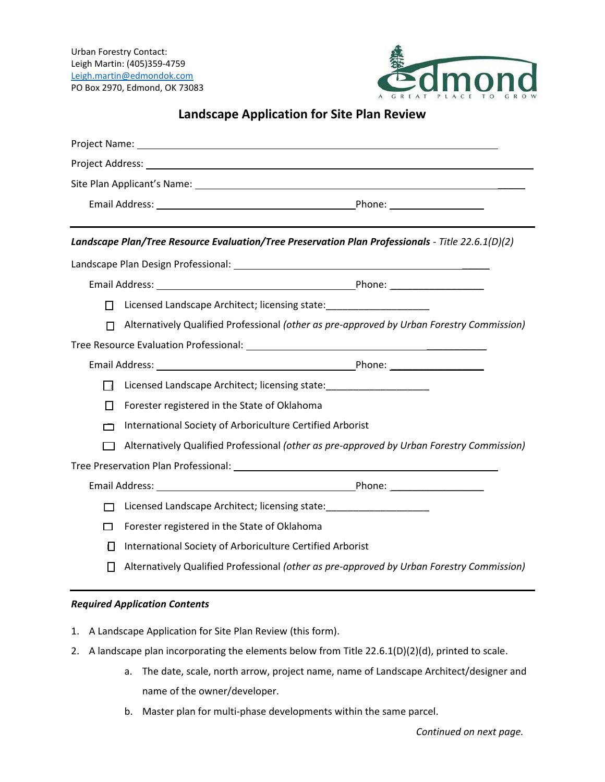Urban Forestry Contact: Leigh Martin: (405)359-4759 [Leigh.martin@edmondok.com](mailto:Leigh.martin@edmondok.com) PO Box 2970, Edmond, OK 73083



## **Landscape Application for Site Plan Review**

|              | Landscape Plan/Tree Resource Evaluation/Tree Preservation Plan Professionals - Title 22.6.1(D)(2) |
|--------------|---------------------------------------------------------------------------------------------------|
|              |                                                                                                   |
|              |                                                                                                   |
| П            | Licensed Landscape Architect; licensing state:                                                    |
| П            | Alternatively Qualified Professional (other as pre-approved by Urban Forestry Commission)         |
|              |                                                                                                   |
|              |                                                                                                   |
| ГΙ           | Licensed Landscape Architect; licensing state: _______________________                            |
| $\mathbf{L}$ | Forester registered in the State of Oklahoma                                                      |
| ┍            | International Society of Arboriculture Certified Arborist                                         |
|              | Alternatively Qualified Professional (other as pre-approved by Urban Forestry Commission)         |
|              |                                                                                                   |
|              |                                                                                                   |
|              | Licensed Landscape Architect; licensing state: _________________________________                  |
| ⊓            | Forester registered in the State of Oklahoma                                                      |
| П            | International Society of Arboriculture Certified Arborist                                         |
|              | Alternatively Qualified Professional (other as pre-approved by Urban Forestry Commission)         |

## *Required Application Contents*

- 1. A Landscape Application for Site Plan Review (this form).
- 2. A landscape plan incorporating the elements below from Title 22.6.1(D)(2)(d), printed to scale.
	- a. The date, scale, north arrow, project name, name of Landscape Architect/designer and name of the owner/developer.
	- b. Master plan for multi-phase developments within the same parcel.